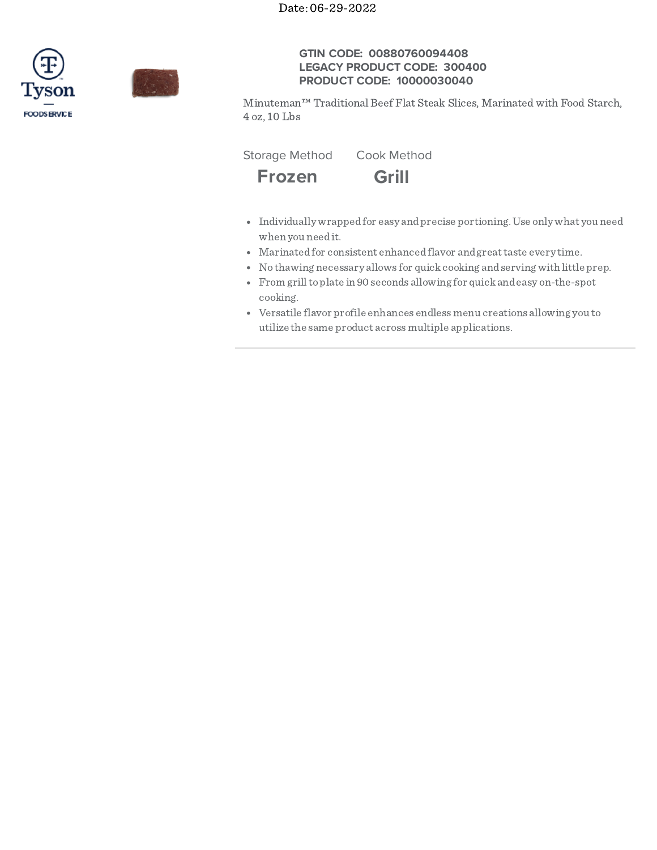



# **GTIN CODE: 00880760094408 LEGACY PRODUCT CODE: 300400 PRODUCT CODE: 10000030040**

Minuteman™ Traditional Beef Flat Steak Slices, Marinated with Food Starch, 4 oz, 10 Lbs

Storage Method Cook Method



- Individually wrapped for easy and precise portioning. Use only what you need when you needit.
- Marinatedfor consistent enhancedflavor andgreattaste every time.
- No thawing necessary allows for quickcooking andserving with little prep.
- From grilltoplate in 90 seconds allowing for quickandeasy on-the-spot cooking.
- Versatile flavor profile enhances endlessmenu creations allowing you to utilize the same product acrossmultiple applications.